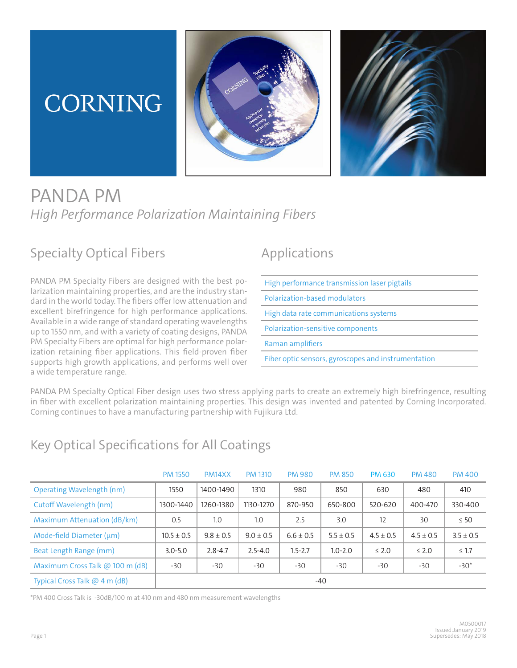# **CORNING**





## PANDA PM *High Performance Polarization Maintaining Fibers*

## Specialty Optical Fibers

PANDA PM Specialty Fibers are designed with the best polarization maintaining properties, and are the industry standard in the world today. The fibers offer low attenuation and excellent birefringence for high performance applications. Available in a wide range of standard operating wavelengths up to 1550 nm, and with a variety of coating designs, PANDA PM Specialty Fibers are optimal for high performance polarization retaining fiber applications. This field-proven fiber supports high growth applications, and performs well over a wide temperature range.

## Applications

High performance transmission laser pigtails Polarization-based modulators High data rate communications systems Polarization-sensitive components Raman amplifiers Fiber optic sensors, gyroscopes and instrumentation

PANDA PM Specialty Optical Fiber design uses two stress applying parts to create an extremely high birefringence, resulting in fiber with excellent polarization maintaining properties. This design was invented and patented by Corning Incorporated. Corning continues to have a manufacturing partnership with Fujikura Ltd.

### Key Optical Specifications for All Coatings

|                                 | <b>PM 1550</b> | PM <sub>14</sub> XX | <b>PM 1310</b> | <b>PM 980</b> | <b>PM 850</b> | <b>PM 630</b> | <b>PM 480</b> | <b>PM 400</b> |
|---------------------------------|----------------|---------------------|----------------|---------------|---------------|---------------|---------------|---------------|
| Operating Wavelength (nm)       | 1550           | 1400-1490           | 1310           | 980           | 850           | 630           | 480           | 410           |
| Cutoff Wavelength (nm)          | 1300-1440      | 1260-1380           | 1130-1270      | 870-950       | 650-800       | 520-620       | 400-470       | 330-400       |
| Maximum Attenuation (dB/km)     | 0.5            | 1.0                 | 1.0            | 2.5           | 3.0           | 12            | 30            | $\leq 50$     |
| Mode-field Diameter (µm)        | $10.5 \pm 0.5$ | $9.8 \pm 0.5$       | $9.0 \pm 0.5$  | $6.6 \pm 0.5$ | $5.5 \pm 0.5$ | $4.5 \pm 0.5$ | $4.5 \pm 0.5$ | $3.5 \pm 0.5$ |
| Beat Length Range (mm)          | $3.0 - 5.0$    | $2.8 - 4.7$         | $2.5 - 4.0$    | $1.5 - 2.7$   | $1.0 - 2.0$   | $\leq 2.0$    | $\leq 2.0$    | $\leq 1.7$    |
| Maximum Cross Talk @ 100 m (dB) | -30            | $-30$               | $-30$          | $-30$         | $-30$         | $-30$         | $-30$         | $-30*$        |
| Typical Cross Talk @ 4 m (dB)   | $-40$          |                     |                |               |               |               |               |               |

\*PM 400 Cross Talk is -30dB/100 m at 410 nm and 480 nm measurement wavelengths